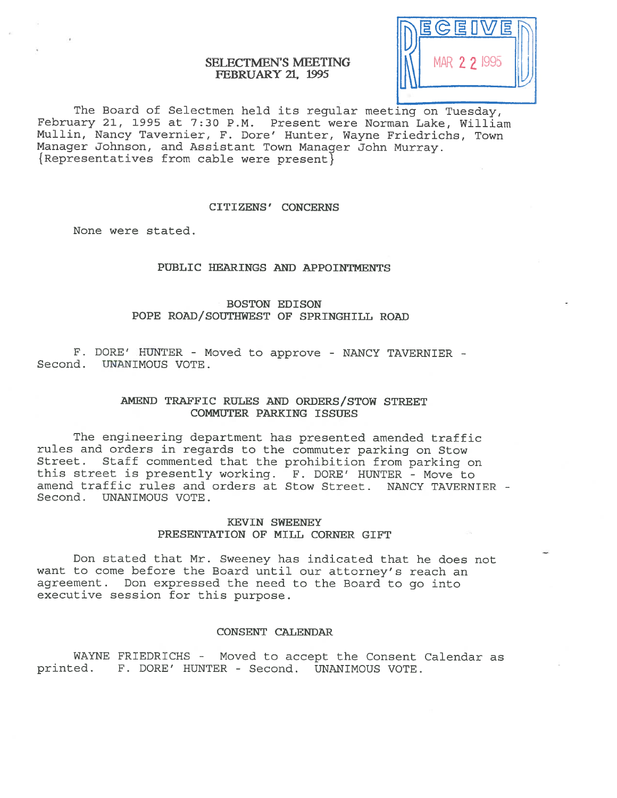# SELECTMEN'S MEETING FEBRUARY 21, 1995



The Board of Selectmen held its regular meeting on Tuesday, February 21, 1995 at 7:30 P.M. Present were Norman Lake, William Mullin, Nancy Tavernier, F. Dore' Hunter, Wayne Friedrichs, Town Manager Johnson, and Assistant Town Manager John Murray. { Representatives from cable were present}

#### CITIZENS' CONCERNS

None were stated.

# PUBLIC HEARINGS AND APPOINTMENTS

BOSTON EDISON POPE ROAD/SOUTHWEST OF SPRINGHILL ROAD

F. BORE' HUNTER - Moved to approve - NANCY TAVERNIER - Second. UNANIMOUS VOTE.

# AMEND TRAFFIC RULES AND ORDERS/STOW STREET COMMUTER PARKING ISSUES

The engineering department has presented amended traffic rules and orders in regards to the commuter parking on Stow Street. Staff commented that the prohibition from parking on this street is presently working. F. BORE' HUNTER - Move to amend traffic rules and orders at Stow Street. NANCY TAVERNIER - Second. UNANIMOUS VOTE.

# KEVIN SWEENEY PRESENTATION OF MILL CORNER GIFT

Don stated that Mr. Sweeney has indicated that he does not want to come before the Board until our attorney's reach an agreement. Don expresse<sup>d</sup> the need to the Board to go into executive session for this purpose.

### CONSENT CALENDAR

WAYNE FRIEDRICHS - Moved to accep<sup>t</sup> the Consent Calendar as printed. F. BORE' HUNTER - Second. UNANIMOUS VOTE.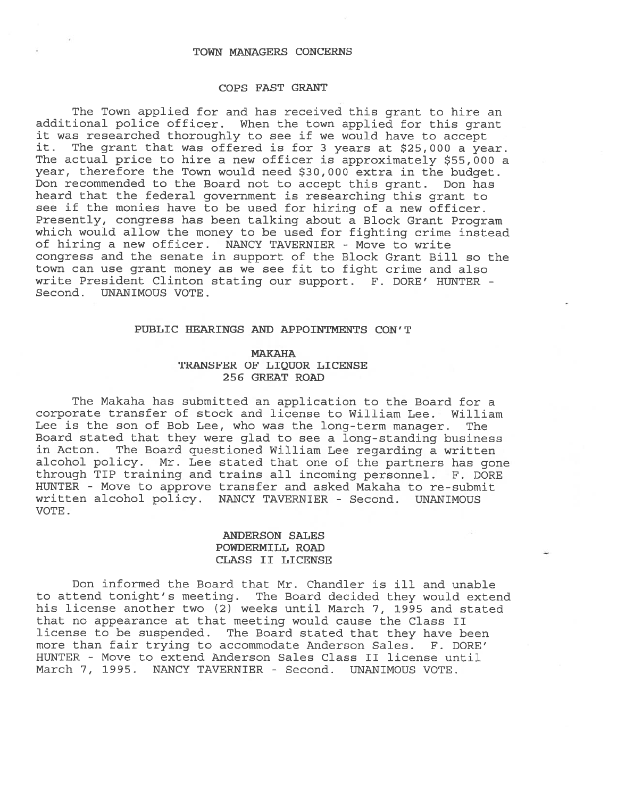#### TOWN MANAGERS CONCERNS

#### COPS FAST GRANT

The Town applied for and has received this gran<sup>t</sup> to hire an additional police officer. When the town applied for this gran<sup>t</sup> it was researched thoroughly to see if we would have to accep<sup>t</sup> it. The gran<sup>t</sup> that was offered is for <sup>3</sup> years at \$25,000 <sup>a</sup> year. The actual price to hire a new officer is approximately \$55,000 a year, therefore the Town would need \$30,000 extra in the budget. Don recommended to the Board not to accep<sup>t</sup> this grant. Don has heard that the federal governmen<sup>t</sup> is researching this gran<sup>t</sup> to see if the monies have to be used for hiring of <sup>a</sup> new officer. Presently, congress has been talking about <sup>a</sup> Block Grant Program which would allow the money to be used for fighting crime instead of hiring <sup>a</sup> new officer. NANCY TAVERNIER - Move to write congress and the senate in suppor<sup>t</sup> of the Block Grant Bill so the town can use gran<sup>t</sup> money as we see fit to fight crime and also write President Clinton stating our support. F. DORE' HUNTER - Second. UNANIMOUS VOTE.

#### PUBLIC HEARINGS AND APPOINTMENTS CON'T

## **MAKAHA** TRANSFER OF LIQUOR LICENSE 256 GREAT ROAD

The Makaha has submitted an application to the Board for <sup>a</sup> corporate transfer of stock and license to William Lee. William Lee is the son of Bob Lee, who was the long-term manager. The Board stated that they were <sup>g</sup>lad to see <sup>a</sup> long-standing business in Acton. The Board questioned William Lee regarding <sup>a</sup> written alcohol policy. Mr. Lee stated that one of the partners has gone through TIP training and trains all incoming personnel. F. DORE HUNTER - Move to approve transfer and asked Makaha to re-submit written alcohol policy. NANCY TAVERNIER - Second. UNANIMOUS VOTE.

## ANDERSON SALES POWDERNILL ROAD CLASS II LICENSE

Don informed the Board that Mr. Chandler is ill and unable to attend tonight's meeting. The Board decided they would extend his license another two (2) weeks until March 7, 1995 and stated that no appearance at that meeting would cause the Class II license to be suspended. The Board stated that they have been more than fair trying to accommodate Anderson Sales. F. DORE' HUNTER - Move to extend Anderson Sales Class II license until March 7, 1995. NANCY TAVERNIER - Second. UNANIMOUS VOTE.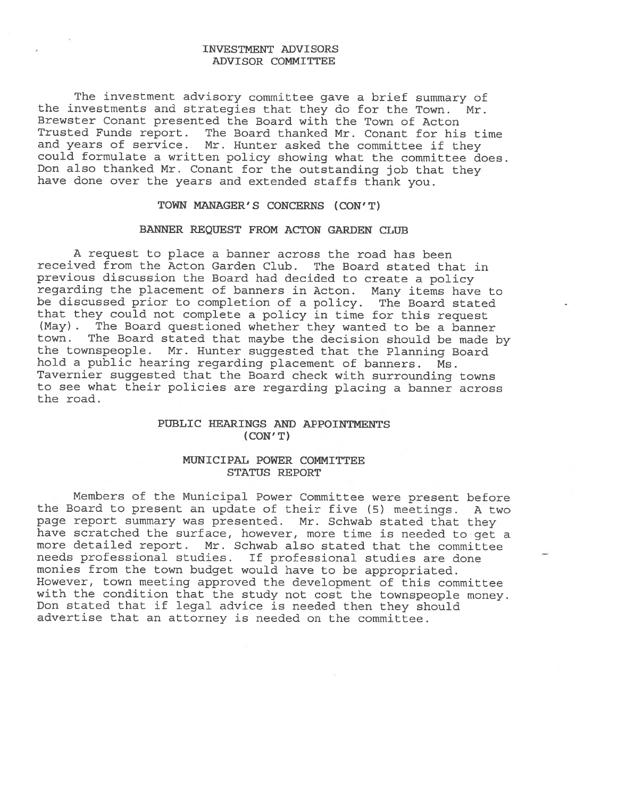## INVESTMENT ADVISORS ADVISOR COMMITTEE

The investment advisory committee gave <sup>a</sup> brief summary of the investments and strategies that they do for the Town. Mr. Brewster Conant presented the Board with the Town of Acton Trusted Funds report. The Board thanked Mr. Conant for his time and years of service. Mr. Hunter asked the committee if they could formulate <sup>a</sup> written policy showing what the committee does. Don also thanked Mr. Conant for the outstanding job that they have done over the years and extended staffs thank you.

# TOWN MANAGER'S CONCERNS (CON'T)

### BANNER REQUEST FROM ACTON GARDEN CLUE

A request to place <sup>a</sup> banner across the road has been received from the Acton Garden Club. The Board stated that in previous discussion the Board had decided to create <sup>a</sup> policy regarding the <sup>p</sup>lacement of banners in Acton. Many items have to be discussed prior to completion of <sup>a</sup> policy. The Board stated that they could not complete <sup>a</sup> policy in time for this request (May). The Board questioned whether they wanted to be <sup>a</sup> banner town. The Board stated that maybe the decision should be made by the townspeople. Mr. Hunter suggested that the Planning Board hold <sup>a</sup> public hearing regarding <sup>p</sup>lacement of banners. Ms. Tavernier suggested that the Board check with surrounding towns to see what their policies are regarding <sup>p</sup>lacing <sup>a</sup> banner across the road.

# PUBLIC HEARINGS AND APPOINTMENTS (CON' T)

## MUNICIPAL POWER COMMITTEE STATUS REPORT

Members of the Municipal Power Committee were present before the Board to present an update of their five (5) meetings. <sup>A</sup> two page report summary was presented. Mr. Schwab stated that they have scratched the surface, however, more time is needed to get a more detailed report. Mr. Schwab also stated that the committee needs professional studies. If professional studies are done monies from the town budget would have to be appropriated. However, town meeting approved the development of this committee with the condition that the study not cost the townspeople money. Don stated that if legal advice is needed then they should advertise that an attorney is needed on the committee.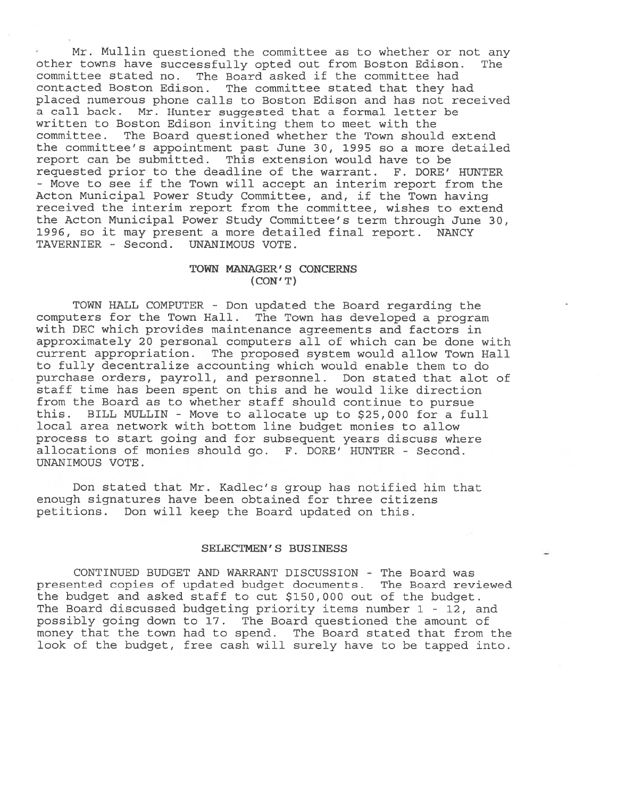• Mr. Mullin questioned the committee as to whether or not any other towns have successfully opted out from Boston Edison. The committee stated no. The Board asked if the committee had contacted Boston Edison. The committee stated that they had placed numerous phone calls to Boston Edison and has not received <sup>a</sup> call back. Mr. Hunter suggested that <sup>a</sup> formal letter be written to Boston Edison inviting them to meet with the committee. The Board questioned whether the Town should extend the committee's appointment pas<sup>t</sup> June 30, 1995 so <sup>a</sup> more detailed repor<sup>t</sup> can be submitted. This extension would have to be requested prior to the deadline of the warrant. F. DORE' HUNTER - Move to see if the Town will accep<sup>t</sup> an interim repor<sup>t</sup> from the Acton Municipal Power Study Committee, and, if the Town having received the interim repor<sup>t</sup> from the committee, wishes to extend the Acton Municipal Power Study Committee's term through June 30, 1996, so it may presen<sup>t</sup> <sup>a</sup> more detailed final report. NANCY TAVERNIER - Second. UNANIMOUS VOTE.

## TOWN MANAGER' S CONCERNS (CON' T)

TOWN HALL COMPUTER - Don updated the Board regarding the computers for the Town Hall. The Town has developed <sup>a</sup> program with DEC which provides maintenance agreements and factors in approximately 20 personal computers all of which can be done with current appropriation. The proposed system would allow Town Hall to fully decentralize accounting which would enable them to do purchase orders, payroll, and personnel. Don stated that alot of staff time has been spen<sup>t</sup> on this and he would like direction from the Board as to whether staff should continue to pursue this. BILL MULLIN - Move to allocate up to \$25,000 for <sup>a</sup> full local area network with bottom line budget monies to allow process to start going and for subsequent years discuss where allocations of monies should go. F. DORE' HUNTER - Second. UNANIMOUS VOTE.

Don stated that Mr. Kadlec's group has notified him that enough signatures have been obtained for three citizens petitions. Don will keep the Board updated on this.

## SELECTMEN'S BUSINESS

CONTINUED BUDGET AND WARRANT DISCUSSION - The Board was presented copies of updated budget documents. The Board reviewed the budget and asked staff to cut \$150,000 out of the budget. The Board discussed budgeting priority items number 1 - 12, and possibly going down to 17. The Board questioned the amount of money that the town had to spend. The Board stated that from the look of the budget, free cash will surely have to be tapped into.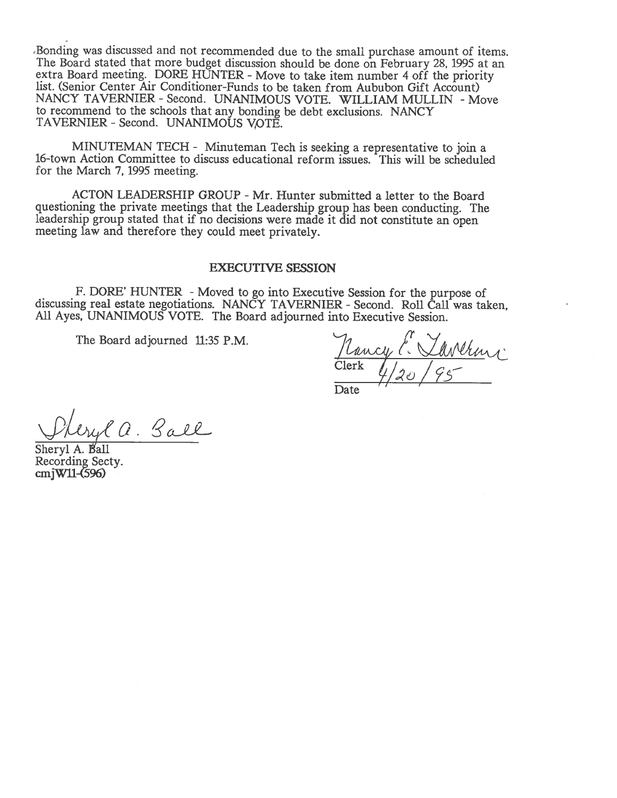.Bonding was discussed and not recommended due to the small purchase amount of items. The Board stated that more budget discussion should be done on February 28, <sup>1995</sup> at an extra Board meeting. DORE HUNTER - Move to take item number 4 off the priority list. (Senior Center Air Conditioner-Funds to be taken from Aububon Gift Account) NANCY TAVERNIER - Second. UNANIMOUS VOTE. WILLIAM MULLIN - Move to recommend to the schools that any bonding be debt exclusions. NANCY TAVERNIER - Second. UNANIMOUS VOTE.

MINUTEMAN TECH - Minuteman Tech is seeking <sup>a</sup> representative to join <sup>a</sup> 16-town Action Committee to discuss educational reform issues. This will be scheduled for the March 7, 1995 meeting.

ACTON LEADERSHIP GROUP - Mr. Hunter submitted a letter to the Board questioning the private meetings that the Leadership group has been conducting. The leadership group stated that if no decisions were made it did not constitute an open meeting law and therefore they could meet privately.

## EXECUTIVE SESSION

F. DORE' HUNTER - Moved to go into Executive Session for the purpose of discussing real estate negotiations. NANCY TAVERNIER - Second. Roll Call was taken, MI Ayes, UNANIMOUS VOTE. The Board adjourned into Executive Session.

The Board adjourned 11:35 P.M.  $\mu_{\text{uucy}}$  ( $\text{uucy}$ Clerk Date

ryl a. Ball

Sheryl A. Bʻall Recording Secty. cmjWIl-(5%)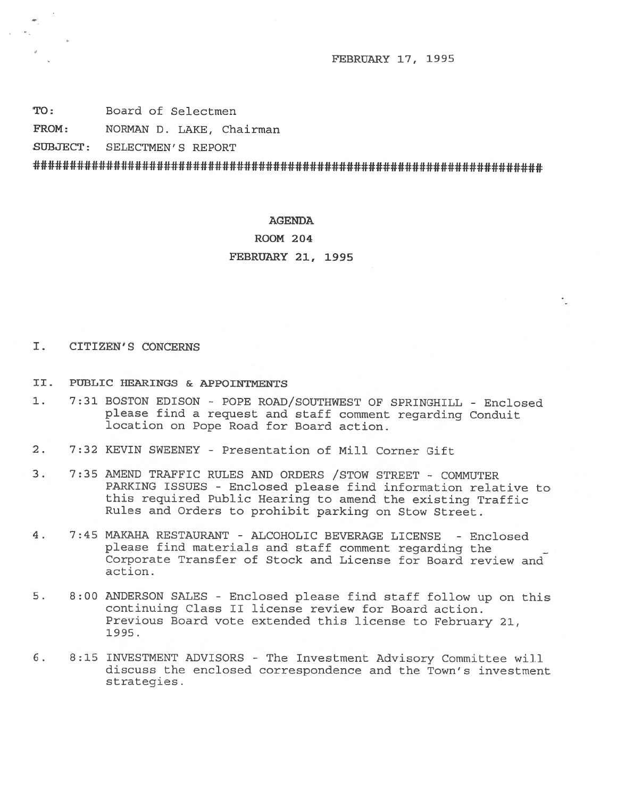FEBRUARY 17, 1995

TO: Board of Selectmen

FROM: NORMAN D. LAKE, Chairman

SUBJECT: SELECTMEN'S REPORT

######################################################################

### AGENDA

# ROOM 204

## FEBRUARY 21, 1995

# I. CITIZEN'S CONCERNS

- II. PUBLIC HEARINGS & APPOINTMENTS
- 1. 7:31 BOSTON EDISON POPE ROAD/SOUTHWEST OF SPRINGHILL Enclosed <sup>p</sup>lease find <sup>a</sup> request and staff comment regarding Conduit location on Pope Road for Board action.
- 2. 7:32 KEVIN SWEENEY Presentation of Mill Corner Gift
- 3. 7:35 AMEND TRAFFIC RULES AND ORDERS /STOW STREET COMMUTER PARKING ISSUES - Enclosed <sup>p</sup>lease find information relative to this required Public Hearing to amend the existing Traffic Rules and Orders to prohibit parking on Stow Street.
- 4. 7:45 MAKAHA RESTAURANT ALCOHOLIC BEVERAGE LICENSE Enclosed <sup>p</sup>lease find materials and staff comment regarding the Corporate Transfer of Stock and License for Board review and action.
- 5. 8:00 ANDERSON SALES Enclosed <sup>p</sup>lease find staff follow up on this continuing Class II license review for Board action. Previous Board vote extended this license to February 21, 1995.
- 6. 8:15 INVESTMENT ADVISORS The Investment Advisory Committee will discuss the enclosed correspondence and the Town's investment strategies.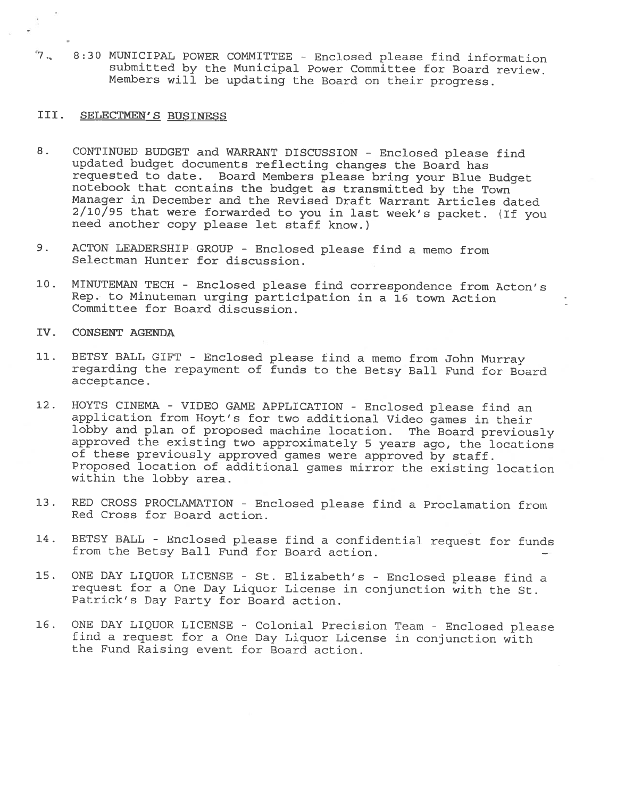7. 8:30 MUNICIPAL POWER COMMITTEE -Enclosed <sup>p</sup>lease find information submitted by the Municipal Power Committee for Board review. Members will be updating the Board on their progress.

# III. SELECTMEN'S BUSINESS

- 8. CONTINUED BUDGET and WARRANT DISCUSSION Enclosed <sup>p</sup>lease find updated budget documents reflecting changes the Board has<br>requested to date. Board Members please bring your Blue Budget notebook that contains the budget as transmitted by the Town Manager in December and the Revised Draft Warrant Articles dated  $2/10/95$  that were forwarded to you in last week's packet. (If you need another copy please let staff know.)
- 9. ACTON LEADERSHIP GROUP Enclosed <sup>p</sup>lease find <sup>a</sup> memo from Selectman Hunter for discussion.
- 10. MINUTEMAN TECH Enclosed please find correspondence from Acton's Rep. to Minuteman urging participation in <sup>a</sup> <sup>16</sup> town Action Committee for Board discussion.
- IV. CONSENT AGENDA
- 11. BETSY BALL GIFT Enclosed <sup>p</sup>lease find <sup>a</sup> memo from John Murray regarding the repayment of funds to the Betsy Ball Fund for Board acceptance.
- 12. HOYTS CINEMA VIDEO GAME APPLICATION Enclosed <sup>p</sup>lease find an application from Hoyt's for two additional Video games in their<br>lobby and plan of proposed machine location. The Board previously approved the existing two approximately 5 years ago, the locations of these previously approved games were approved by staff. Proposed location of additional games mirror the existing location within the lobby area.
- 13. RED CROSS PROCLAMATION Enclosed <sup>p</sup>lease find <sup>a</sup> Proclamation from Red Cross for Board action.
- 14. BETSY BALL Enclosed please find a confidential request for funds from the Betsy Ball Fund for Board action.
- 15. ONE DAY LIQUOR LICENSE St. Elizabeth's -Enclosed <sup>p</sup>lease find <sup>a</sup> request for <sup>a</sup> One Day Liquor License in conjunction with the St. Patrick's Day Party for Board action.
- 16. ONE DAY LIQUOR LICENSE -Colonial Precision Team Enclosed <sup>p</sup>lease find <sup>a</sup> request for <sup>a</sup> One Day Liquor License in conjunction with the Fund Raising event for Board action.